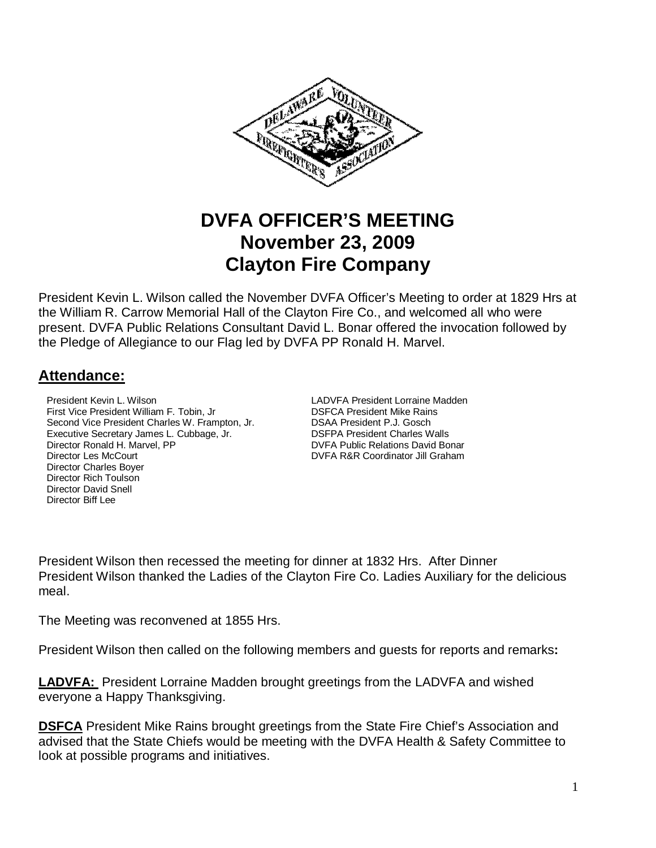

# **DVFA OFFICER'S MEETING November 23, 2009 Clayton Fire Company**

President Kevin L. Wilson called the November DVFA Officer's Meeting to order at 1829 Hrs at the William R. Carrow Memorial Hall of the Clayton Fire Co., and welcomed all who were present. DVFA Public Relations Consultant David L. Bonar offered the invocation followed by the Pledge of Allegiance to our Flag led by DVFA PP Ronald H. Marvel.

# **Attendance:**

**President Kevin L. Wilson LADVFA President Lorraine Madden** First Vice President William F. Tobin, Jr **DISFCA President Mike Rains**<br>Second Vice President Charles W. Frampton, Jr. **DISAA President P.J. Gosch** Second Vice President Charles W. Frampton, Jr. Executive Secretary James L. Cubbage, Jr. DSFPA President Charles Walls Director Ronald H. Marvel, PP **DIRECT ACCOMPT AND INCORD** DVFA Public Relations David Bonar Director Les McCourt DVFA R&R Coordinator Jill Graham Director Charles Boyer Director Rich Toulson Director David Snell Director Biff Lee

President Wilson then recessed the meeting for dinner at 1832 Hrs. After Dinner President Wilson thanked the Ladies of the Clayton Fire Co. Ladies Auxiliary for the delicious meal.

The Meeting was reconvened at 1855 Hrs.

President Wilson then called on the following members and guests for reports and remarks**:** 

**LADVFA:** President Lorraine Madden brought greetings from the LADVFA and wished everyone a Happy Thanksgiving.

**DSFCA** President Mike Rains brought greetings from the State Fire Chief's Association and advised that the State Chiefs would be meeting with the DVFA Health & Safety Committee to look at possible programs and initiatives.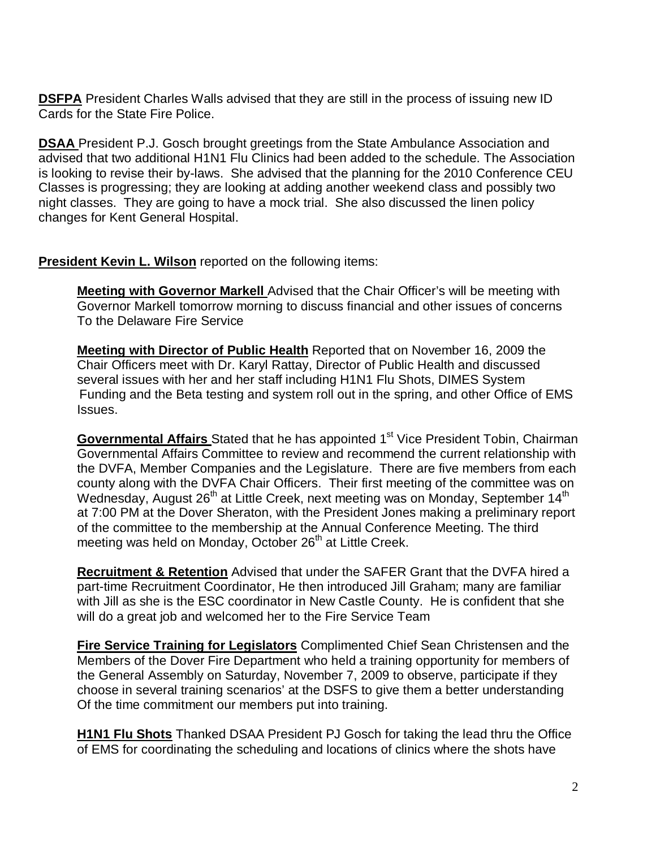**DSFPA** President Charles Walls advised that they are still in the process of issuing new ID Cards for the State Fire Police.

**DSAA** President P.J. Gosch brought greetings from the State Ambulance Association and advised that two additional H1N1 Flu Clinics had been added to the schedule. The Association is looking to revise their by-laws. She advised that the planning for the 2010 Conference CEU Classes is progressing; they are looking at adding another weekend class and possibly two night classes. They are going to have a mock trial. She also discussed the linen policy changes for Kent General Hospital.

**President Kevin L. Wilson** reported on the following items:

**Meeting with Governor Markell** Advised that the Chair Officer's will be meeting with Governor Markell tomorrow morning to discuss financial and other issues of concerns To the Delaware Fire Service

**Meeting with Director of Public Health** Reported that on November 16, 2009 the Chair Officers meet with Dr. Karyl Rattay, Director of Public Health and discussed several issues with her and her staff including H1N1 Flu Shots, DIMES System Funding and the Beta testing and system roll out in the spring, and other Office of EMS Issues.

**Governmental Affairs** Stated that he has appointed 1<sup>st</sup> Vice President Tobin, Chairman Governmental Affairs Committee to review and recommend the current relationship with the DVFA, Member Companies and the Legislature. There are five members from each county along with the DVFA Chair Officers. Their first meeting of the committee was on Wednesday, August 26<sup>th</sup> at Little Creek, next meeting was on Monday, September 14<sup>th</sup> at 7:00 PM at the Dover Sheraton, with the President Jones making a preliminary report of the committee to the membership at the Annual Conference Meeting. The third meeting was held on Monday, October 26<sup>th</sup> at Little Creek.

**Recruitment & Retention** Advised that under the SAFER Grant that the DVFA hired a part-time Recruitment Coordinator, He then introduced Jill Graham; many are familiar with Jill as she is the ESC coordinator in New Castle County. He is confident that she will do a great job and welcomed her to the Fire Service Team

**Fire Service Training for Legislators** Complimented Chief Sean Christensen and the Members of the Dover Fire Department who held a training opportunity for members of the General Assembly on Saturday, November 7, 2009 to observe, participate if they choose in several training scenarios' at the DSFS to give them a better understanding Of the time commitment our members put into training.

**H1N1 Flu Shots** Thanked DSAA President PJ Gosch for taking the lead thru the Office of EMS for coordinating the scheduling and locations of clinics where the shots have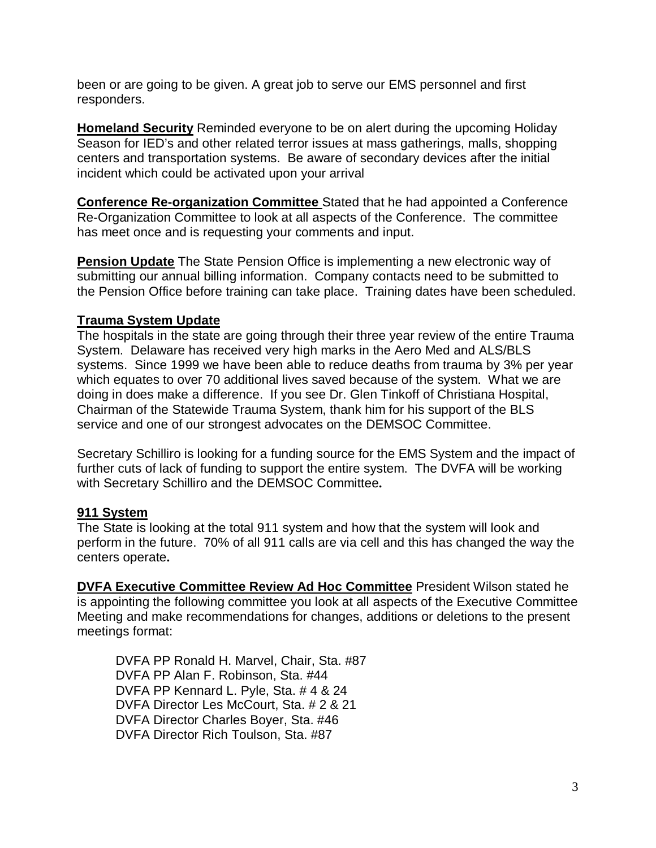been or are going to be given. A great job to serve our EMS personnel and first responders.

**Homeland Security** Reminded everyone to be on alert during the upcoming Holiday Season for IED's and other related terror issues at mass gatherings, malls, shopping centers and transportation systems. Be aware of secondary devices after the initial incident which could be activated upon your arrival

**Conference Re-organization Committee** Stated that he had appointed a Conference Re-Organization Committee to look at all aspects of the Conference. The committee has meet once and is requesting your comments and input.

**Pension Update** The State Pension Office is implementing a new electronic way of submitting our annual billing information. Company contacts need to be submitted to the Pension Office before training can take place. Training dates have been scheduled.

#### **Trauma System Update**

The hospitals in the state are going through their three year review of the entire Trauma System. Delaware has received very high marks in the Aero Med and ALS/BLS systems. Since 1999 we have been able to reduce deaths from trauma by 3% per year which equates to over 70 additional lives saved because of the system. What we are doing in does make a difference. If you see Dr. Glen Tinkoff of Christiana Hospital, Chairman of the Statewide Trauma System, thank him for his support of the BLS service and one of our strongest advocates on the DEMSOC Committee.

Secretary Schilliro is looking for a funding source for the EMS System and the impact of further cuts of lack of funding to support the entire system. The DVFA will be working with Secretary Schilliro and the DEMSOC Committee**.** 

#### **911 System**

The State is looking at the total 911 system and how that the system will look and perform in the future. 70% of all 911 calls are via cell and this has changed the way the centers operate**.**

**DVFA Executive Committee Review Ad Hoc Committee** President Wilson stated he is appointing the following committee you look at all aspects of the Executive Committee Meeting and make recommendations for changes, additions or deletions to the present meetings format:

 DVFA PP Ronald H. Marvel, Chair, Sta. #87 DVFA PP Alan F. Robinson, Sta. #44 DVFA PP Kennard L. Pyle, Sta. # 4 & 24 DVFA Director Les McCourt, Sta. # 2 & 21 DVFA Director Charles Boyer, Sta. #46 DVFA Director Rich Toulson, Sta. #87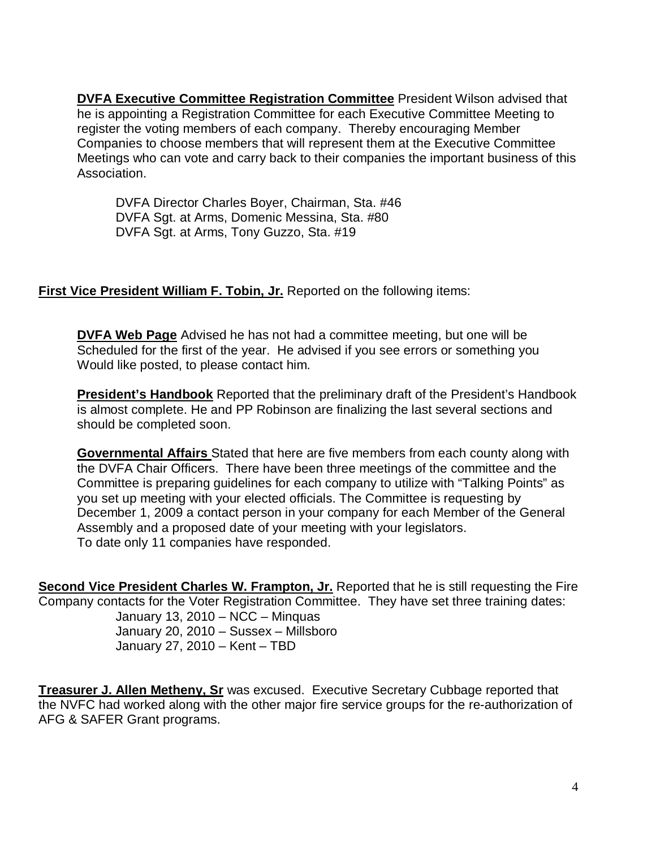**DVFA Executive Committee Registration Committee** President Wilson advised that he is appointing a Registration Committee for each Executive Committee Meeting to register the voting members of each company. Thereby encouraging Member Companies to choose members that will represent them at the Executive Committee Meetings who can vote and carry back to their companies the important business of this Association.

 DVFA Director Charles Boyer, Chairman, Sta. #46 DVFA Sgt. at Arms, Domenic Messina, Sta. #80 DVFA Sgt. at Arms, Tony Guzzo, Sta. #19

#### **First Vice President William F. Tobin, Jr.** Reported on the following items:

**DVFA Web Page** Advised he has not had a committee meeting, but one will be Scheduled for the first of the year. He advised if you see errors or something you Would like posted, to please contact him.

**President's Handbook** Reported that the preliminary draft of the President's Handbook is almost complete. He and PP Robinson are finalizing the last several sections and should be completed soon.

**Governmental Affairs** Stated that here are five members from each county along with the DVFA Chair Officers. There have been three meetings of the committee and the Committee is preparing guidelines for each company to utilize with "Talking Points" as you set up meeting with your elected officials. The Committee is requesting by December 1, 2009 a contact person in your company for each Member of the General Assembly and a proposed date of your meeting with your legislators. To date only 11 companies have responded.

**Second Vice President Charles W. Frampton, Jr.** Reported that he is still requesting the Fire Company contacts for the Voter Registration Committee. They have set three training dates:

 January 13, 2010 – NCC – Minquas January 20, 2010 – Sussex – Millsboro January 27, 2010 – Kent – TBD

**Treasurer J. Allen Metheny, Sr** was excused. Executive Secretary Cubbage reported that the NVFC had worked along with the other major fire service groups for the re-authorization of AFG & SAFER Grant programs.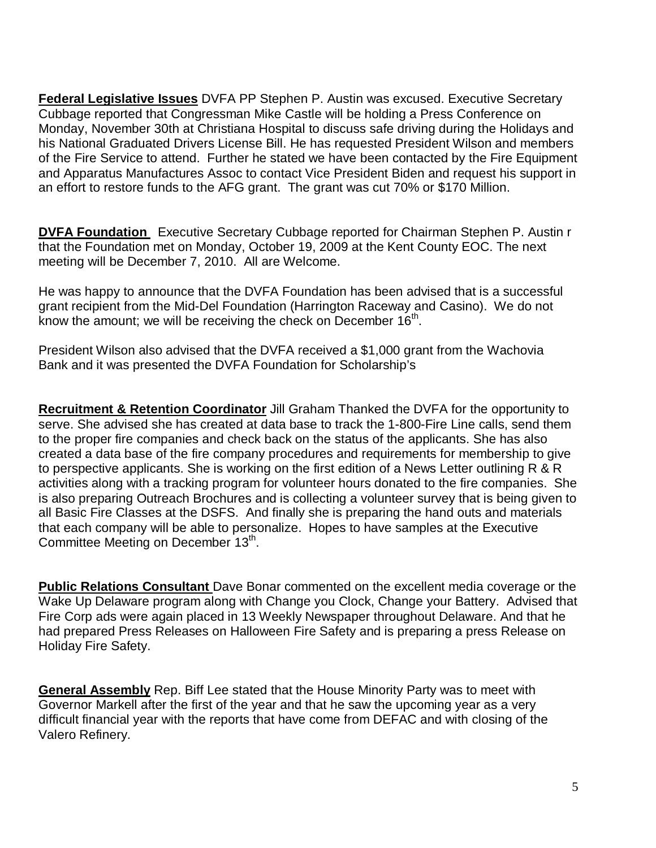**Federal Legislative Issues** DVFA PP Stephen P. Austin was excused. Executive Secretary Cubbage reported that Congressman Mike Castle will be holding a Press Conference on Monday, November 30th at Christiana Hospital to discuss safe driving during the Holidays and his National Graduated Drivers License Bill. He has requested President Wilson and members of the Fire Service to attend. Further he stated we have been contacted by the Fire Equipment and Apparatus Manufactures Assoc to contact Vice President Biden and request his support in an effort to restore funds to the AFG grant. The grant was cut 70% or \$170 Million.

**DVFA Foundation** Executive Secretary Cubbage reported for Chairman Stephen P. Austin r that the Foundation met on Monday, October 19, 2009 at the Kent County EOC. The next meeting will be December 7, 2010. All are Welcome.

He was happy to announce that the DVFA Foundation has been advised that is a successful grant recipient from the Mid-Del Foundation (Harrington Raceway and Casino). We do not know the amount; we will be receiving the check on December  $16<sup>th</sup>$ .

President Wilson also advised that the DVFA received a \$1,000 grant from the Wachovia Bank and it was presented the DVFA Foundation for Scholarship's

**Recruitment & Retention Coordinator** Jill Graham Thanked the DVFA for the opportunity to serve. She advised she has created at data base to track the 1-800-Fire Line calls, send them to the proper fire companies and check back on the status of the applicants. She has also created a data base of the fire company procedures and requirements for membership to give to perspective applicants. She is working on the first edition of a News Letter outlining R & R activities along with a tracking program for volunteer hours donated to the fire companies. She is also preparing Outreach Brochures and is collecting a volunteer survey that is being given to all Basic Fire Classes at the DSFS. And finally she is preparing the hand outs and materials that each company will be able to personalize. Hopes to have samples at the Executive Committee Meeting on December 13<sup>th</sup>.

**Public Relations Consultant** Dave Bonar commented on the excellent media coverage or the Wake Up Delaware program along with Change you Clock, Change your Battery. Advised that Fire Corp ads were again placed in 13 Weekly Newspaper throughout Delaware. And that he had prepared Press Releases on Halloween Fire Safety and is preparing a press Release on Holiday Fire Safety.

**General Assembly** Rep. Biff Lee stated that the House Minority Party was to meet with Governor Markell after the first of the year and that he saw the upcoming year as a very difficult financial year with the reports that have come from DEFAC and with closing of the Valero Refinery.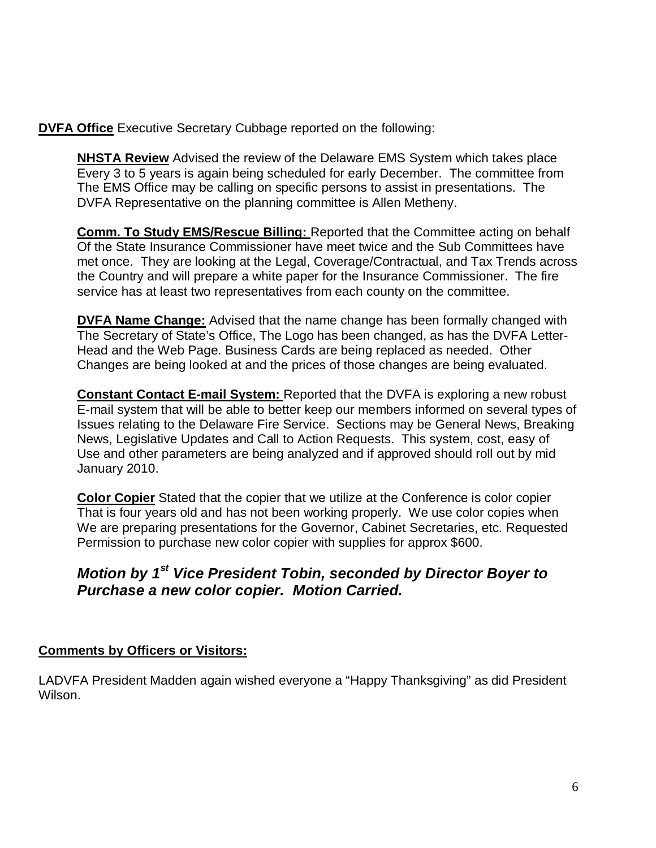**DVFA Office** Executive Secretary Cubbage reported on the following:

**NHSTA Review** Advised the review of the Delaware EMS System which takes place Every 3 to 5 years is again being scheduled for early December. The committee from The EMS Office may be calling on specific persons to assist in presentations. The DVFA Representative on the planning committee is Allen Metheny.

**Comm. To Study EMS/Rescue Billing:** Reported that the Committee acting on behalf Of the State Insurance Commissioner have meet twice and the Sub Committees have met once. They are looking at the Legal, Coverage/Contractual, and Tax Trends across the Country and will prepare a white paper for the Insurance Commissioner. The fire service has at least two representatives from each county on the committee.

**DVFA Name Change:** Advised that the name change has been formally changed with The Secretary of State's Office, The Logo has been changed, as has the DVFA Letter- Head and the Web Page. Business Cards are being replaced as needed. Other Changes are being looked at and the prices of those changes are being evaluated.

**Constant Contact E-mail System:** Reported that the DVFA is exploring a new robust E-mail system that will be able to better keep our members informed on several types of Issues relating to the Delaware Fire Service. Sections may be General News, Breaking News, Legislative Updates and Call to Action Requests. This system, cost, easy of Use and other parameters are being analyzed and if approved should roll out by mid January 2010.

**Color Copier** Stated that the copier that we utilize at the Conference is color copier That is four years old and has not been working properly. We use color copies when We are preparing presentations for the Governor, Cabinet Secretaries, etc. Requested Permission to purchase new color copier with supplies for approx \$600.

# **Motion by 1st Vice President Tobin, seconded by Director Boyer to Purchase a new color copier. Motion Carried.**

#### **Comments by Officers or Visitors:**

LADVFA President Madden again wished everyone a "Happy Thanksgiving" as did President Wilson.